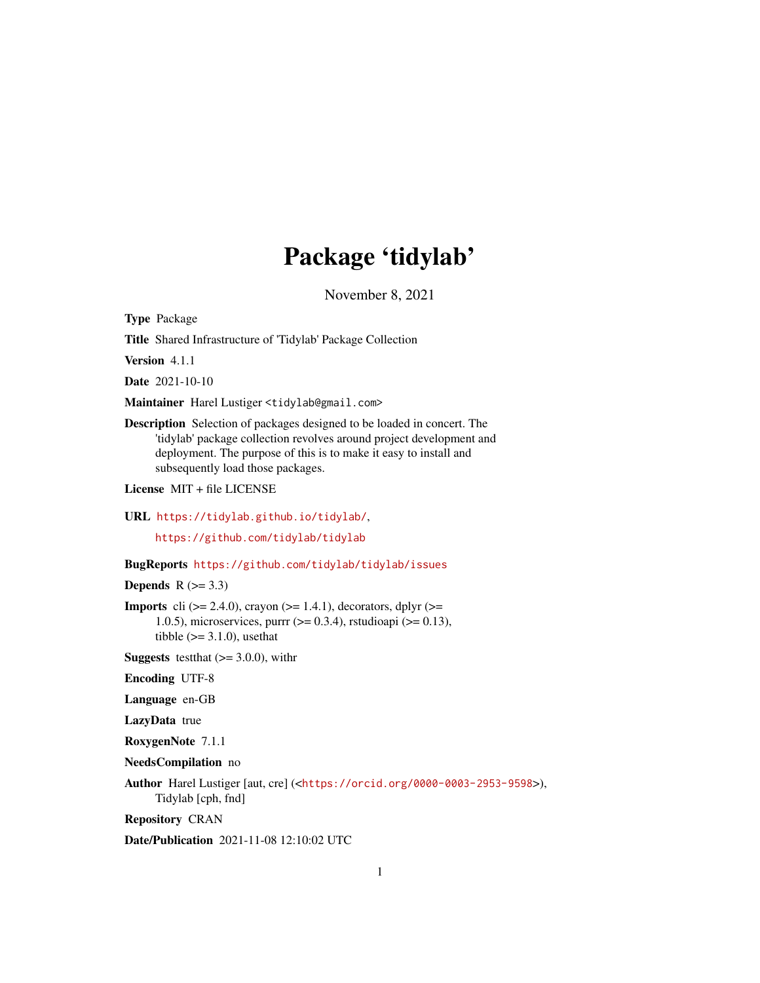## Package 'tidylab'

November 8, 2021

<span id="page-0-0"></span>Type Package

Title Shared Infrastructure of 'Tidylab' Package Collection

Version 4.1.1

Date 2021-10-10

Maintainer Harel Lustiger <tidylab@gmail.com>

Description Selection of packages designed to be loaded in concert. The 'tidylab' package collection revolves around project development and deployment. The purpose of this is to make it easy to install and subsequently load those packages.

License MIT + file LICENSE

URL <https://tidylab.github.io/tidylab/>,

<https://github.com/tidylab/tidylab>

BugReports <https://github.com/tidylab/tidylab/issues>

Depends  $R$  ( $>= 3.3$ )

**Imports** cli  $(>= 2.4.0)$ , crayon  $(>= 1.4.1)$ , decorators, dplyr  $(>= 1.4.1)$ 1.0.5), microservices, purrr ( $>= 0.3.4$ ), rstudioapi ( $>= 0.13$ ), tibble  $(>= 3.1.0)$ , usethat

**Suggests** test that  $(>= 3.0.0)$ , with r

Encoding UTF-8

Language en-GB

LazyData true

RoxygenNote 7.1.1

NeedsCompilation no

Author Harel Lustiger [aut, cre] (<<https://orcid.org/0000-0003-2953-9598>>), Tidylab [cph, fnd]

Repository CRAN

Date/Publication 2021-11-08 12:10:02 UTC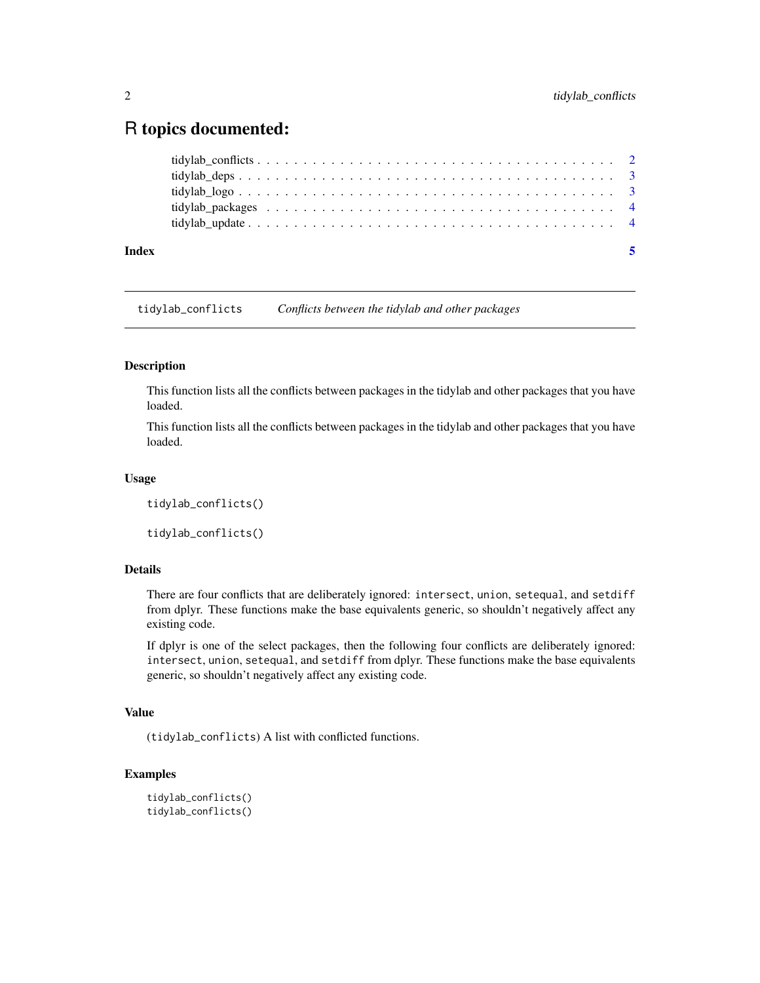### <span id="page-1-0"></span>R topics documented:

| Index |  |
|-------|--|
|       |  |
|       |  |
|       |  |
|       |  |
|       |  |

tidylab\_conflicts *Conflicts between the tidylab and other packages*

#### Description

This function lists all the conflicts between packages in the tidylab and other packages that you have loaded.

This function lists all the conflicts between packages in the tidylab and other packages that you have loaded.

#### Usage

tidylab\_conflicts()

tidylab\_conflicts()

#### Details

There are four conflicts that are deliberately ignored: intersect, union, setequal, and setdiff from dplyr. These functions make the base equivalents generic, so shouldn't negatively affect any existing code.

If dplyr is one of the select packages, then the following four conflicts are deliberately ignored: intersect, union, setequal, and setdiff from dplyr. These functions make the base equivalents generic, so shouldn't negatively affect any existing code.

#### Value

(tidylab\_conflicts) A list with conflicted functions.

#### Examples

```
tidylab_conflicts()
tidylab_conflicts()
```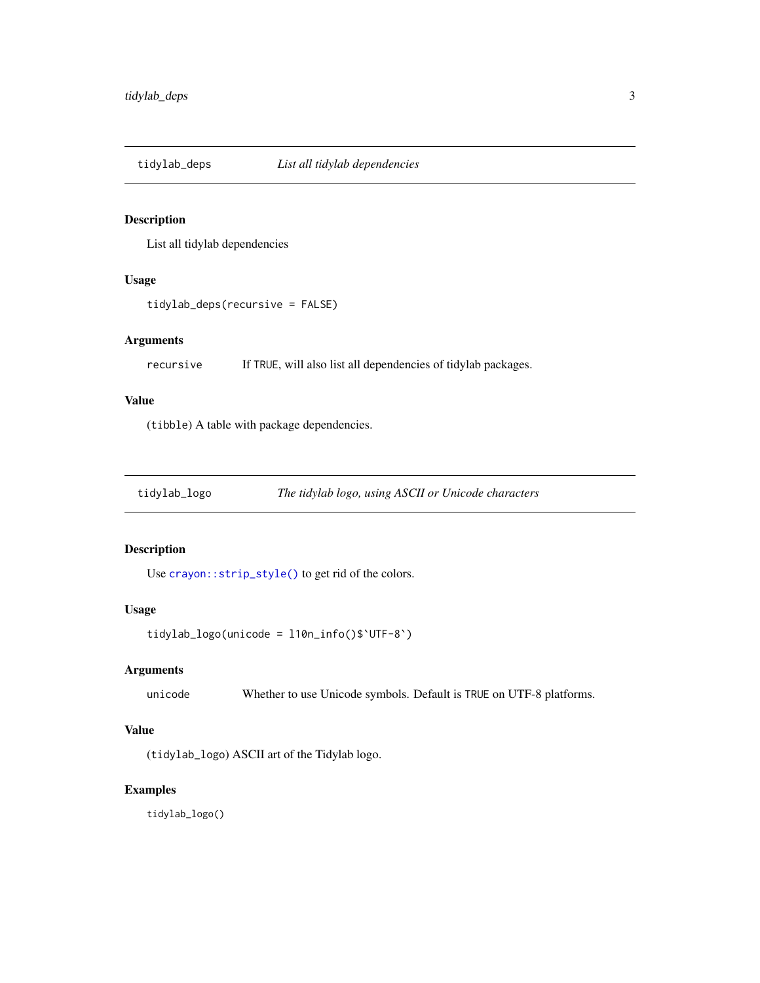<span id="page-2-0"></span>

#### Description

List all tidylab dependencies

#### Usage

tidylab\_deps(recursive = FALSE)

#### Arguments

recursive If TRUE, will also list all dependencies of tidylab packages.

#### Value

(tibble) A table with package dependencies.

tidylab\_logo *The tidylab logo, using ASCII or Unicode characters*

#### Description

Use [crayon::strip\\_style\(\)](#page-0-0) to get rid of the colors.

#### Usage

```
tidylab_logo(unicode = l10n_info()$`UTF-8`)
```
#### Arguments

unicode Whether to use Unicode symbols. Default is TRUE on UTF-8 platforms.

#### Value

(tidylab\_logo) ASCII art of the Tidylab logo.

#### Examples

tidylab\_logo()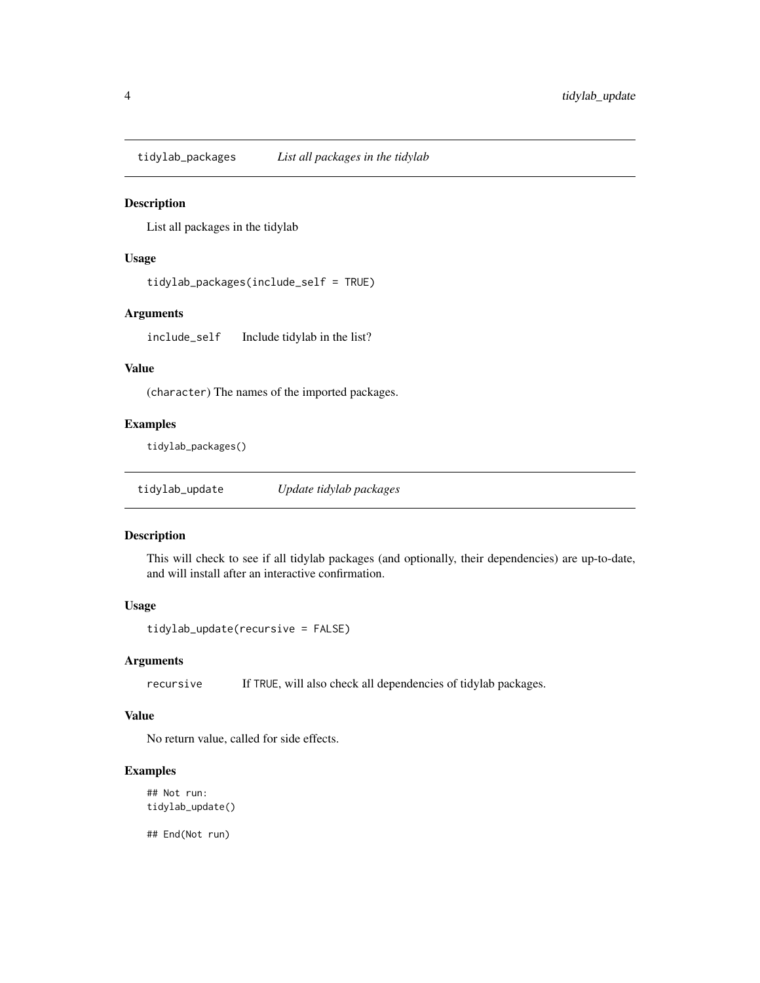<span id="page-3-0"></span>tidylab\_packages *List all packages in the tidylab*

#### Description

List all packages in the tidylab

#### Usage

```
tidylab_packages(include_self = TRUE)
```
#### Arguments

include\_self Include tidylab in the list?

#### Value

(character) The names of the imported packages.

#### Examples

tidylab\_packages()

#### Description

This will check to see if all tidylab packages (and optionally, their dependencies) are up-to-date, and will install after an interactive confirmation.

#### Usage

```
tidylab_update(recursive = FALSE)
```
#### Arguments

recursive If TRUE, will also check all dependencies of tidylab packages.

#### Value

No return value, called for side effects.

#### Examples

## Not run: tidylab\_update()

## End(Not run)